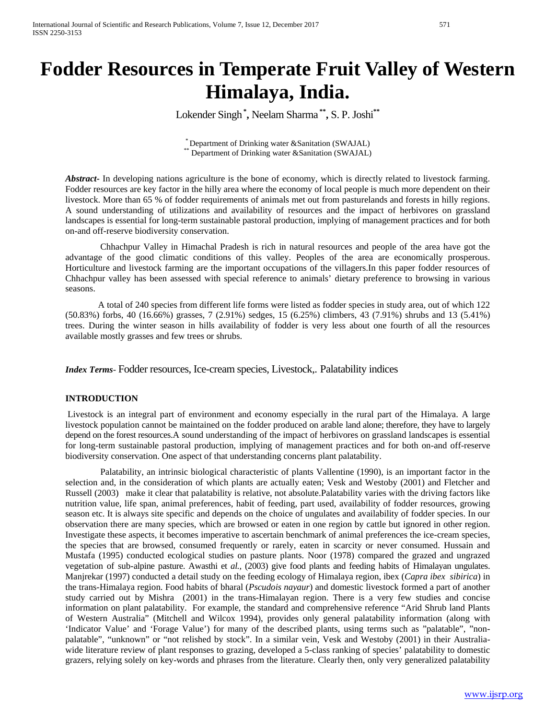# **Fodder Resources in Temperate Fruit Valley of Western Himalaya, India.**

Lokender Singh**\* ,** Neelam Sharma **\*\*,** S. P. Joshi**\*\***

\* Department of Drinking water &Sanitation (SWAJAL) \*\* Department of Drinking water &Sanitation (SWAJAL)

*Abstract***-** In developing nations agriculture is the bone of economy, which is directly related to livestock farming. Fodder resources are key factor in the hilly area where the economy of local people is much more dependent on their livestock. More than 65 % of fodder requirements of animals met out from pasturelands and forests in hilly regions. A sound understanding of utilizations and availability of resources and the impact of herbivores on grassland landscapes is essential for long-term sustainable pastoral production, implying of management practices and for both on-and off-reserve biodiversity conservation.

Chhachpur Valley in Himachal Pradesh is rich in natural resources and people of the area have got the advantage of the good climatic conditions of this valley. Peoples of the area are economically prosperous. Horticulture and livestock farming are the important occupations of the villagers.In this paper fodder resources of Chhachpur valley has been assessed with special reference to animals' dietary preference to browsing in various seasons.

A total of 240 species from different life forms were listed as fodder species in study area, out of which 122 (50.83%) forbs, 40 (16.66%) grasses, 7 (2.91%) sedges, 15 (6.25%) climbers, 43 (7.91%) shrubs and 13 (5.41%) trees. During the winter season in hills availability of fodder is very less about one fourth of all the resources available mostly grasses and few trees or shrubs.

*Index Terms*- Fodder resources, Ice-cream species, Livestock,. Palatability indices

## **INTRODUCTION**

Livestock is an integral part of environment and economy especially in the rural part of the Himalaya. A large livestock population cannot be maintained on the fodder produced on arable land alone; therefore, they have to largely depend on the forest resources.A sound understanding of the impact of herbivores on grassland landscapes is essential for long-term sustainable pastoral production, implying of management practices and for both on-and off-reserve biodiversity conservation. One aspect of that understanding concerns plant palatability.

Palatability, an intrinsic biological characteristic of plants Vallentine (1990), is an important factor in the selection and, in the consideration of which plants are actually eaten; Vesk and Westoby (2001) and Fletcher and Russell (2003) make it clear that palatability is relative, not absolute.Palatability varies with the driving factors like nutrition value, life span, animal preferences, habit of feeding, part used, availability of fodder resources, growing season etc. It is always site specific and depends on the choice of ungulates and availability of fodder species. In our observation there are many species, which are browsed or eaten in one region by cattle but ignored in other region. Investigate these aspects, it becomes imperative to ascertain benchmark of animal preferences the ice-cream species, the species that are browsed, consumed frequently or rarely, eaten in scarcity or never consumed. Hussain and Mustafa (1995) conducted ecological studies on pasture plants. Noor (1978) compared the grazed and ungrazed vegetation of sub-alpine pasture. Awasthi et *al.,* (2003) give food plants and feeding habits of Himalayan ungulates. Manjrekar (1997) conducted a detail study on the feeding ecology of Himalaya region, ibex (*Capra ibex sibirica*) in the trans-Himalaya region. Food habits of bharal (*Pscudois nayaur*) and domestic livestock formed a part of another study carried out by Mishra (2001) in the trans-Himalayan region. There is a very few studies and concise information on plant palatability. For example, the standard and comprehensive reference "Arid Shrub land Plants of Western Australia" (Mitchell and Wilcox 1994), provides only general palatability information (along with 'Indicator Value' and 'Forage Value') for many of the described plants, using terms such as "palatable", "nonpalatable", "unknown" or "not relished by stock". In a similar vein, Vesk and Westoby (2001) in their Australiawide literature review of plant responses to grazing, developed a 5-class ranking of species' palatability to domestic grazers, relying solely on key-words and phrases from the literature. Clearly then, only very generalized palatability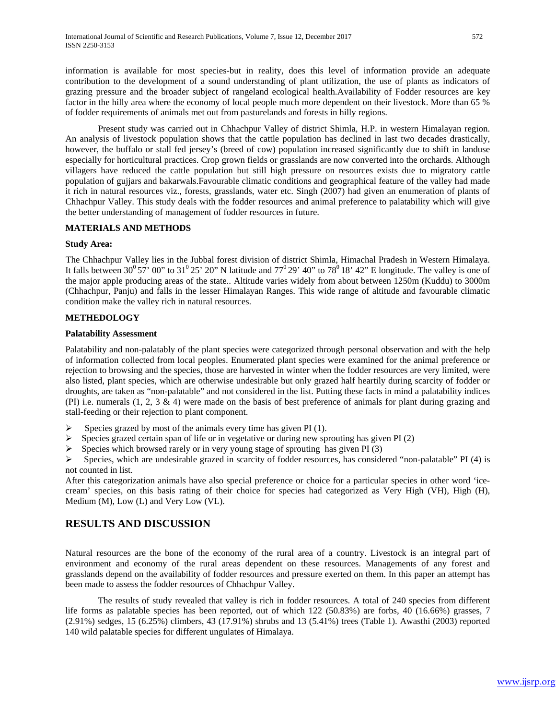information is available for most species-but in reality, does this level of information provide an adequate contribution to the development of a sound understanding of plant utilization, the use of plants as indicators of grazing pressure and the broader subject of rangeland ecological health.Availability of Fodder resources are key factor in the hilly area where the economy of local people much more dependent on their livestock. More than 65 % of fodder requirements of animals met out from pasturelands and forests in hilly regions.

Present study was carried out in Chhachpur Valley of district Shimla, H.P. in western Himalayan region. An analysis of livestock population shows that the cattle population has declined in last two decades drastically, however, the buffalo or stall fed jersey's (breed of cow) population increased significantly due to shift in landuse especially for horticultural practices. Crop grown fields or grasslands are now converted into the orchards. Although villagers have reduced the cattle population but still high pressure on resources exists due to migratory cattle population of gujjars and bakarwals.Favourable climatic conditions and geographical feature of the valley had made it rich in natural resources viz., forests, grasslands, water etc. Singh (2007) had given an enumeration of plants of Chhachpur Valley. This study deals with the fodder resources and animal preference to palatability which will give the better understanding of management of fodder resources in future.

#### **MATERIALS AND METHODS**

#### **Study Area:**

The Chhachpur Valley lies in the Jubbal forest division of district Shimla, Himachal Pradesh in Western Himalaya. It falls between  $30^{\circ}57'$  00" to  $31^{\circ}25'$  20" N latitude and  $77^{\circ}29'$  40" to  $78^{\circ}18'$  42" E longitude. The valley is one of the major apple producing areas of the state.. Altitude varies widely from about between 1250m (Kuddu) to 3000m (Chhachpur, Panju) and falls in the lesser Himalayan Ranges. This wide range of altitude and favourable climatic condition make the valley rich in natural resources.

### **METHEDOLOGY**

#### **Palatability Assessment**

Palatability and non-palatably of the plant species were categorized through personal observation and with the help of information collected from local peoples. Enumerated plant species were examined for the animal preference or rejection to browsing and the species, those are harvested in winter when the fodder resources are very limited, were also listed, plant species, which are otherwise undesirable but only grazed half heartily during scarcity of fodder or droughts, are taken as "non-palatable" and not considered in the list. Putting these facts in mind a palatability indices (PI) i.e. numerals (1, 2, 3 & 4) were made on the basis of best preference of animals for plant during grazing and stall-feeding or their rejection to plant component.

- $\triangleright$  Species grazed by most of the animals every time has given PI (1).
- $\triangleright$  Species grazed certain span of life or in vegetative or during new sprouting has given PI (2)
- $\triangleright$  Species which browsed rarely or in very young stage of sprouting has given PI (3)

 $\triangleright$  Species, which are undesirable grazed in scarcity of fodder resources, has considered "non-palatable" PI (4) is not counted in list.

After this categorization animals have also special preference or choice for a particular species in other word 'icecream' species, on this basis rating of their choice for species had categorized as Very High (VH), High (H), Medium (M), Low (L) and Very Low (VL).

# **RESULTS AND DISCUSSION**

Natural resources are the bone of the economy of the rural area of a country. Livestock is an integral part of environment and economy of the rural areas dependent on these resources. Managements of any forest and grasslands depend on the availability of fodder resources and pressure exerted on them. In this paper an attempt has been made to assess the fodder resources of Chhachpur Valley.

The results of study revealed that valley is rich in fodder resources. A total of 240 species from different life forms as palatable species has been reported, out of which 122 (50.83%) are forbs, 40 (16.66%) grasses, 7 (2.91%) sedges, 15 (6.25%) climbers, 43 (17.91%) shrubs and 13 (5.41%) trees (Table 1). Awasthi (2003) reported 140 wild palatable species for different ungulates of Himalaya.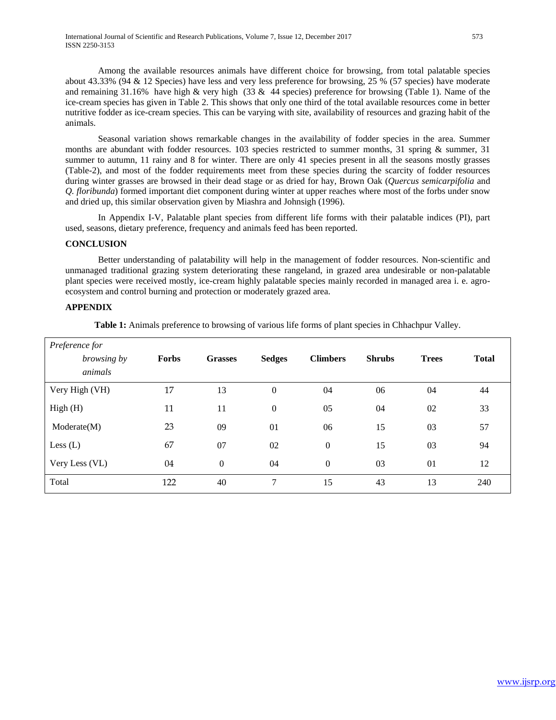Among the available resources animals have different choice for browsing, from total palatable species about 43.33% (94 & 12 Species) have less and very less preference for browsing, 25 % (57 species) have moderate and remaining 31.16% have high & very high (33 & 44 species) preference for browsing (Table 1). Name of the ice-cream species has given in Table 2. This shows that only one third of the total available resources come in better nutritive fodder as ice-cream species. This can be varying with site, availability of resources and grazing habit of the animals.

Seasonal variation shows remarkable changes in the availability of fodder species in the area. Summer months are abundant with fodder resources. 103 species restricted to summer months, 31 spring & summer, 31 summer to autumn, 11 rainy and 8 for winter. There are only 41 species present in all the seasons mostly grasses (Table-2), and most of the fodder requirements meet from these species during the scarcity of fodder resources during winter grasses are browsed in their dead stage or as dried for hay, Brown Oak (*Quercus semicarpifolia* and *Q. floribunda*) formed important diet component during winter at upper reaches where most of the forbs under snow and dried up, this similar observation given by Miashra and Johnsigh (1996).

In Appendix I-V, Palatable plant species from different life forms with their palatable indices (PI), part used, seasons, dietary preference, frequency and animals feed has been reported.

#### **CONCLUSION**

Better understanding of palatability will help in the management of fodder resources. Non-scientific and unmanaged traditional grazing system deteriorating these rangeland, in grazed area undesirable or non-palatable plant species were received mostly, ice-cream highly palatable species mainly recorded in managed area i. e. agroecosystem and control burning and protection or moderately grazed area.

#### **APPENDIX**

**Table 1:** Animals preference to browsing of various life forms of plant species in Chhachpur Valley.

| Preference for |              |                  |                  |                  |               |              |              |
|----------------|--------------|------------------|------------------|------------------|---------------|--------------|--------------|
| browsing by    | <b>Forbs</b> | <b>Grasses</b>   | <b>Sedges</b>    | <b>Climbers</b>  | <b>Shrubs</b> | <b>Trees</b> | <b>Total</b> |
| animals        |              |                  |                  |                  |               |              |              |
| Very High (VH) | 17           | 13               | $\mathbf{0}$     | 04               | 06            | 04           | 44           |
| High(H)        | 11           | 11               | $\boldsymbol{0}$ | 05               | 04            | 02           | 33           |
| Modernate(M)   | 23           | 09               | 01               | 06               | 15            | 03           | 57           |
| Less $(L)$     | 67           | 07               | 02               | $\boldsymbol{0}$ | 15            | 03           | 94           |
| Very Less (VL) | 04           | $\boldsymbol{0}$ | 04               | $\boldsymbol{0}$ | 03            | 01           | 12           |
| Total          | 122          | 40               | $\overline{7}$   | 15               | 43            | 13           | 240          |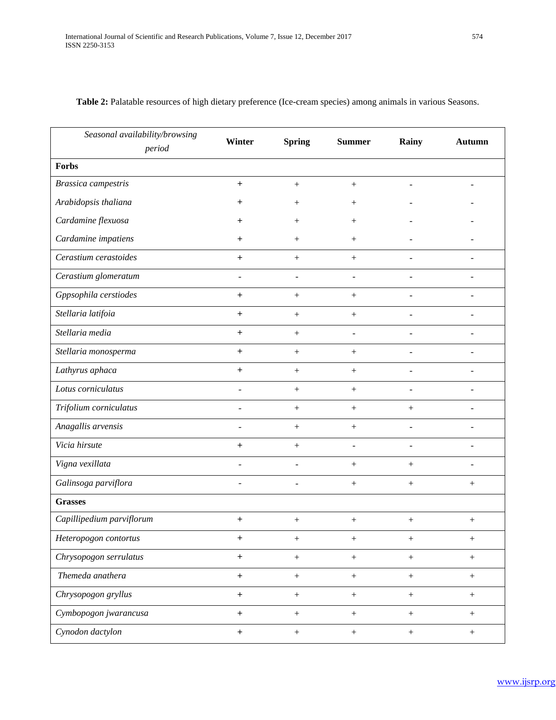| Seasonal availability/browsing<br>period | Winter                   | <b>Spring</b>      | <b>Summer</b>    | Rainy                    | <b>Autumn</b>            |
|------------------------------------------|--------------------------|--------------------|------------------|--------------------------|--------------------------|
| Forbs                                    |                          |                    |                  |                          |                          |
| Brassica campestris                      | $\boldsymbol{+}$         | $^{+}$             | $^{+}$           | $\qquad \qquad -$        |                          |
| Arabidopsis thaliana                     | $\,{}^+$                 | $\hspace{0.1mm} +$ | $^{+}$           |                          |                          |
| Cardamine flexuosa                       | $\,{}^+$                 | $\hspace{0.1mm} +$ | $^{+}$           |                          |                          |
| Cardamine impatiens                      | $\,{}^+$                 | $^{+}$             | $^{+}$           |                          |                          |
| Cerastium cerastoides                    | $\ddot{}$                | $^{+}$             | $^{+}$           |                          |                          |
| Cerastium glomeratum                     |                          |                    |                  |                          |                          |
| Gppsophila cerstiodes                    | $\ddot{}$                | $^{+}$             | $^{+}$           |                          |                          |
| Stellaria latifoia                       | $\ddot{}$                | $^{+}$             | $^{+}$           | $\overline{a}$           | $\overline{\phantom{a}}$ |
| Stellaria media                          | $\ddot{}$                | $\boldsymbol{+}$   | $\overline{a}$   | ۰                        |                          |
| Stellaria monosperma                     | $\ddot{}$                | $^{+}$             | $^{+}$           |                          |                          |
| Lathyrus aphaca                          | $\ddot{}$                | $^{+}$             | $\! + \!$        |                          |                          |
| Lotus corniculatus                       | $\overline{\phantom{0}}$ | $+$                | $+$              | $\overline{\phantom{a}}$ | ÷.                       |
| Trifolium corniculatus                   | $\overline{\phantom{0}}$ | $\boldsymbol{+}$   | $^{+}$           |                          | ÷.                       |
| Anagallis arvensis                       |                          | $^{+}$             | $^{+}$           |                          |                          |
| Vicia hirsute                            | $\ddot{}$                | $^{+}$             |                  | $\overline{a}$           | $\overline{a}$           |
| Vigna vexillata                          | $\overline{\phantom{a}}$ |                    | $\boldsymbol{+}$ | $+$                      |                          |
| Galinsoga parviflora                     | $\overline{\phantom{0}}$ |                    | $+$              |                          | $\! + \!\!\!\!$          |
| <b>Grasses</b>                           |                          |                    |                  |                          |                          |
| Capillipedium parviflorum                | $+$                      | $\boldsymbol{+}$   | $\boldsymbol{+}$ | $+$                      | $+$                      |
| Heteropogon contortus                    | $^+$                     |                    | $\boldsymbol{+}$ | $\boldsymbol{+}$         | $\! + \!\!\!\!$          |
| Chrysopogon serrulatus                   | $+$                      | $\boldsymbol{+}$   | $\boldsymbol{+}$ | $\boldsymbol{+}$         | $\boldsymbol{+}$         |
| Themeda anathera                         | $+$                      | $\boldsymbol{+}$   | $\boldsymbol{+}$ | $\boldsymbol{+}$         | $+$                      |
| Chrysopogon gryllus                      | $\ddot{}$                | $\boldsymbol{+}$   | $\boldsymbol{+}$ | $+$                      | $+$                      |
| Cymbopogon jwarancusa                    | $+$                      | $\boldsymbol{+}$   | $\boldsymbol{+}$ | $\boldsymbol{+}$         | $+$                      |
| Cynodon dactylon                         | $\qquad \qquad +$        | $\boldsymbol{+}$   | $\boldsymbol{+}$ | $\boldsymbol{+}$         | $\boldsymbol{+}$         |

# **Table 2:** Palatable resources of high dietary preference (Ice-cream species) among animals in various Seasons.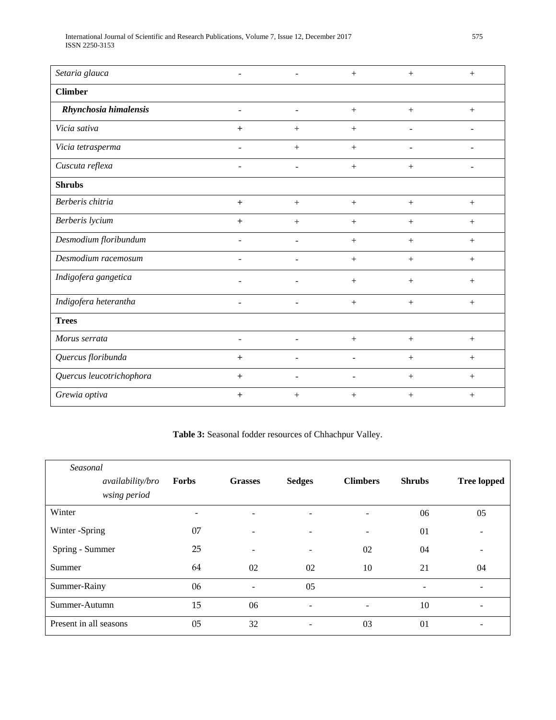| International Journal of Scientific and Research Publications. Volume 7, Issue 12, December 2017 | 575 |
|--------------------------------------------------------------------------------------------------|-----|
| ISSN 2250-3153                                                                                   |     |

| Setaria glauca           |                          |                          | $^{+}$ | $+$                      | $+$                      |
|--------------------------|--------------------------|--------------------------|--------|--------------------------|--------------------------|
| <b>Climber</b>           |                          |                          |        |                          |                          |
| Rhynchosia himalensis    | $\overline{\phantom{0}}$ | L.                       | $+$    | $+$                      | $+$                      |
| Vicia sativa             | $+$                      | $+$                      | $+$    | ÷                        |                          |
| Vicia tetrasperma        | $\overline{a}$           |                          | $+$    | $\overline{\phantom{a}}$ | $\blacksquare$           |
| Cuscuta reflexa          | $\overline{\phantom{a}}$ | $\overline{\phantom{a}}$ | $+$    | $^{+}$                   | $\overline{\phantom{a}}$ |
| <b>Shrubs</b>            |                          |                          |        |                          |                          |
| Berberis chitria         | $+$                      | $+$                      | $+$    | $+$                      | $+$                      |
| Berberis lycium          | $\ddot{}$                |                          | $^{+}$ | $^{+}$                   | $^{+}$                   |
| Desmodium floribundum    | $\overline{\phantom{a}}$ | ۰                        | $+$    | $+$                      | $+$                      |
| Desmodium racemosum      |                          | L,                       | $+$    | $+$                      | $+$                      |
| Indigofera gangetica     |                          |                          | $+$    | $^{+}$                   | $+$                      |
| Indigofera heterantha    |                          | ۰                        | $+$    | $+$                      | $+$                      |
| <b>Trees</b>             |                          |                          |        |                          |                          |
| Morus serrata            | $\overline{\phantom{a}}$ | $\overline{\phantom{a}}$ | $+$    | $+$                      | $+$                      |
| Quercus floribunda       | $\ddot{}$                | L.                       |        | $^{+}$                   | $+$                      |
| Quercus leucotrichophora | $+$                      | -                        |        | $^{+}$                   | $^{+}$                   |
| Grewia optiva            | $\ddot{}$                | $^{+}$                   | $+$    | $^{+}$                   | $+$                      |

**Table 3:** Seasonal fodder resources of Chhachpur Valley.

| Seasonal               |                                  |       |                          |                          |                          |                          |                    |
|------------------------|----------------------------------|-------|--------------------------|--------------------------|--------------------------|--------------------------|--------------------|
|                        | availability/bro<br>wsing period | Forbs | <b>Grasses</b>           | <b>Sedges</b>            | <b>Climbers</b>          | <b>Shrubs</b>            | <b>Tree lopped</b> |
| Winter                 |                                  | -     | ۰                        | $\overline{\phantom{a}}$ | ۰                        | 06                       | 05                 |
| Winter -Spring         |                                  | 07    | ÷                        | $\overline{\phantom{a}}$ | $\overline{\phantom{0}}$ | 01                       |                    |
| Spring - Summer        |                                  | 25    | ۰                        | $\overline{\phantom{a}}$ | 02                       | 04                       | ۰                  |
| Summer                 |                                  | 64    | 02                       | 02                       | 10                       | 21                       | 04                 |
| Summer-Rainy           |                                  | 06    | $\overline{\phantom{a}}$ | 05                       |                          | $\overline{\phantom{0}}$ |                    |
| Summer-Autumn          |                                  | 15    | 06                       | $\overline{\phantom{a}}$ | $\qquad \qquad -$        | 10                       |                    |
| Present in all seasons |                                  | 05    | 32                       | $\overline{\phantom{a}}$ | 03                       | 01                       |                    |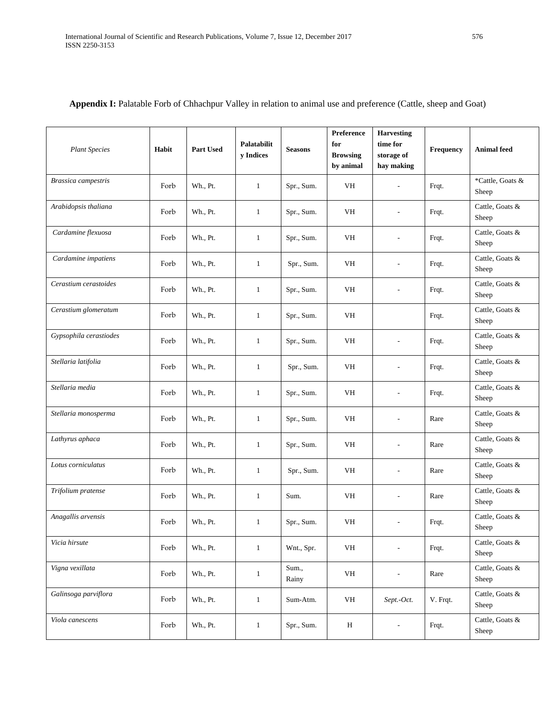| <b>Plant Species</b>   | Habit | Part Used | Palatabilit<br>y Indices | <b>Seasons</b> | Preference<br>for<br><b>Browsing</b><br>by animal | <b>Harvesting</b><br>time for<br>storage of<br>hay making | Frequency | <b>Animal</b> feed        |
|------------------------|-------|-----------|--------------------------|----------------|---------------------------------------------------|-----------------------------------------------------------|-----------|---------------------------|
| Brassica campestris    | Forb  | Wh., Pt.  | $\mathbf{1}$             | Spr., Sum.     | VH                                                | ÷                                                         | Frqt.     | *Cattle, Goats &<br>Sheep |
| Arabidopsis thaliana   | Forb  | Wh., Pt.  | $\mathbf{1}$             | Spr., Sum.     | VH                                                | $\overline{a}$                                            | Frqt.     | Cattle, Goats &<br>Sheep  |
| Cardamine flexuosa     | Forb  | Wh., Pt.  | $\mathbf{1}$             | Spr., Sum.     | VH                                                | $\overline{a}$                                            | Frqt.     | Cattle, Goats &<br>Sheep  |
| Cardamine impatiens    | Forb  | Wh., Pt.  | $\mathbf{1}$             | Spr., Sum.     | VH                                                |                                                           | Frqt.     | Cattle, Goats &<br>Sheep  |
| Cerastium cerastoides  | Forb  | Wh., Pt.  | $\mathbf{1}$             | Spr., Sum.     | <b>VH</b>                                         | L,                                                        | Frqt.     | Cattle, Goats &<br>Sheep  |
| Cerastium glomeratum   | Forb  | Wh., Pt.  | $\mathbf{1}$             | Spr., Sum.     | VH                                                |                                                           | Frqt.     | Cattle, Goats &<br>Sheep  |
| Gypsophila cerastiodes | Forb  | Wh., Pt.  | $\mathbf{1}$             | Spr., Sum.     | VH                                                | L,                                                        | Frqt.     | Cattle, Goats &<br>Sheep  |
| Stellaria latifolia    | Forb  | Wh., Pt.  | $\mathbf{1}$             | Spr., Sum.     | <b>VH</b>                                         |                                                           | Frqt.     | Cattle, Goats &<br>Sheep  |
| Stellaria media        | Forb  | Wh., Pt.  | $\mathbf{1}$             | Spr., Sum.     | VH                                                |                                                           | Frqt.     | Cattle, Goats &<br>Sheep  |
| Stellaria monosperma   | Forb  | Wh., Pt.  | $\mathbf{1}$             | Spr., Sum.     | VH                                                | L,                                                        | Rare      | Cattle, Goats &<br>Sheep  |
| Lathyrus aphaca        | Forb  | Wh., Pt.  | $\mathbf{1}$             | Spr., Sum.     | VH                                                | L,                                                        | Rare      | Cattle, Goats &<br>Sheep  |
| Lotus corniculatus     | Forb  | Wh., Pt.  | $\mathbf{1}$             | Spr., Sum.     | VH                                                |                                                           | Rare      | Cattle, Goats &<br>Sheep  |
| Trifolium pratense     | Forb  | Wh., Pt.  | $\mathbf{1}$             | Sum.           | VH                                                | L,                                                        | Rare      | Cattle, Goats &<br>Sheep  |
| Anagallis arvensis     | Forb  | Wh., Pt.  | 1                        | Spr., Sum.     | VH                                                | $\overline{a}$                                            | Frqt.     | Cattle, Goats &<br>Sheep  |
| Vicia hirsute          | Forb  | Wh., Pt.  | $\mathbf{1}$             | Wnt., Spr.     | VH                                                | $\overline{a}$                                            | Frqt.     | Cattle, Goats &<br>Sheep  |
| Vigna vexillata        | Forb  | Wh., Pt.  | $\mathbf{1}$             | Sum.,<br>Rainy | VH                                                | $\overline{a}$                                            | Rare      | Cattle, Goats &<br>Sheep  |
| Galinsoga parviflora   | Forb  | Wh., Pt.  | $\mathbf{1}$             | Sum-Atm.       | VH                                                | Sept.-Oct.                                                | V. Frqt.  | Cattle, Goats &<br>Sheep  |
| Viola canescens        | Forb  | Wh., Pt.  | $\mathbf{1}$             | Spr., Sum.     | H                                                 | $\overline{\phantom{0}}$                                  | Frqt.     | Cattle, Goats &<br>Sheep  |

# **Appendix I:** Palatable Forb of Chhachpur Valley in relation to animal use and preference (Cattle, sheep and Goat)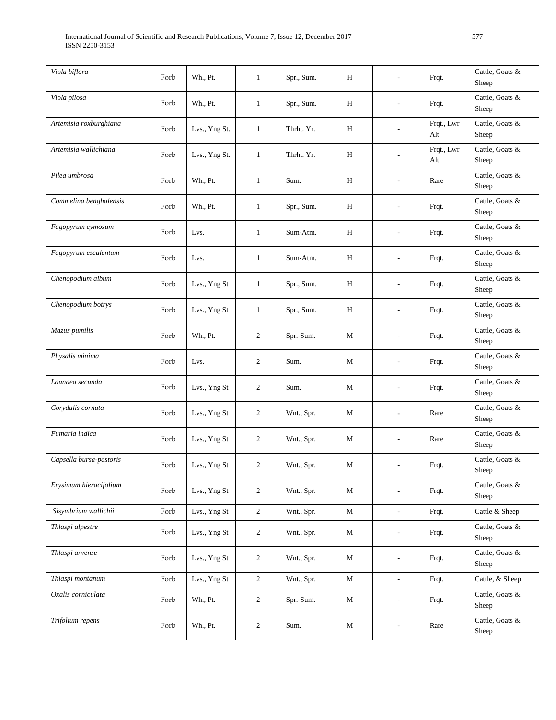| Viola biflora           | Forb | Wh., Pt.      | $\mathbf{1}$   | Spr., Sum. | Η           |                | Frqt.              | Cattle, Goats &<br>Sheep |
|-------------------------|------|---------------|----------------|------------|-------------|----------------|--------------------|--------------------------|
| Viola pilosa            | Forb | Wh., Pt.      | $\mathbf{1}$   | Spr., Sum. | H           |                | Frqt.              | Cattle, Goats &<br>Sheep |
| Artemisia roxburghiana  | Forb | Lvs., Yng St. | $\mathbf{1}$   | Thrht. Yr. | H           |                | Frqt., Lwr<br>Alt. | Cattle, Goats &<br>Sheep |
| Artemisia wallichiana   | Forb | Lvs., Yng St. | $\mathbf{1}$   | Thrht. Yr. | H           |                | Frqt., Lwr<br>Alt. | Cattle, Goats &<br>Sheep |
| Pilea umbrosa           | Forb | Wh., Pt.      | $\mathbf{1}$   | Sum.       | H           |                | Rare               | Cattle, Goats &<br>Sheep |
| Commelina benghalensis  | Forb | Wh., Pt.      | $\mathbf{1}$   | Spr., Sum. | H           |                | Frqt.              | Cattle, Goats &<br>Sheep |
| Fagopyrum cymosum       | Forb | Lvs.          | $\mathbf{1}$   | Sum-Atm.   | H           |                | Frqt.              | Cattle, Goats &<br>Sheep |
| Fagopyrum esculentum    | Forb | Lvs.          | $\mathbf{1}$   | Sum-Atm.   | Н           |                | Frqt.              | Cattle, Goats &<br>Sheep |
| Chenopodium album       | Forb | Lvs., Yng St  | $\mathbf{1}$   | Spr., Sum. | Н           |                | Frqt.              | Cattle, Goats &<br>Sheep |
| Chenopodium botrys      | Forb | Lvs., Yng St  | $\mathbf{1}$   | Spr., Sum. | Н           | L,             | Frqt.              | Cattle, Goats &<br>Sheep |
| Mazus pumilis           | Forb | Wh., Pt.      | 2              | Spr.-Sum.  | М           | $\overline{a}$ | Frqt.              | Cattle, Goats &<br>Sheep |
| Physalis minima         | Forb | Lvs.          | 2              | Sum.       | М           |                | Frqt.              | Cattle, Goats &<br>Sheep |
| Launaea secunda         | Forb | Lvs., Yng St  | $\overline{c}$ | Sum.       | М           |                | Frqt.              | Cattle, Goats &<br>Sheep |
| Corydalis cornuta       | Forb | Lvs., Yng St  | 2              | Wnt., Spr. | М           | ÷              | Rare               | Cattle, Goats &<br>Sheep |
| Fumaria indica          | Forb | Lvs., Yng St  | $\overline{c}$ | Wnt., Spr. | М           | L,             | Rare               | Cattle, Goats &<br>Sheep |
| Capsella bursa-pastoris | Forb | Lvs., Yng St  | $\overline{c}$ | Wnt., Spr. | М           |                | Frqt.              | Cattle, Goats &<br>Sheep |
| Erysimum hieracifolium  | Forb | Lvs., Yng St  | $\overline{c}$ | Wnt., Spr. | $\mathbf M$ |                | Frqt.              | Cattle, Goats &<br>Sheep |
| Sisymbrium wallichii    | Forb | Lvs., Yng St  | $\sqrt{2}$     | Wnt., Spr. | M           | $\overline{a}$ | Frqt.              | Cattle & Sheep           |
| Thlaspi alpestre        | Forb | Lvs., Yng St  | $\overline{c}$ | Wnt., Spr. | М           |                | Frqt.              | Cattle, Goats &<br>Sheep |
| Thlaspi arvense         | Forb | Lvs., Yng St  | $\overline{c}$ | Wnt., Spr. | M           | $\overline{a}$ | Frqt.              | Cattle, Goats &<br>Sheep |
| Thlaspi montanum        | Forb | Lvs., Yng St  | $\sqrt{2}$     | Wnt., Spr. | $\mathbf M$ | L.             | Frqt.              | Cattle, & Sheep          |
| Oxalis corniculata      | Forb | Wh., Pt.      | $\overline{c}$ | Spr.-Sum.  | М           |                | Frqt.              | Cattle, Goats &<br>Sheep |
| Trifolium repens        | Forb | Wh., Pt.      | $\overline{c}$ | Sum.       | $\mathbf M$ |                | Rare               | Cattle, Goats &<br>Sheep |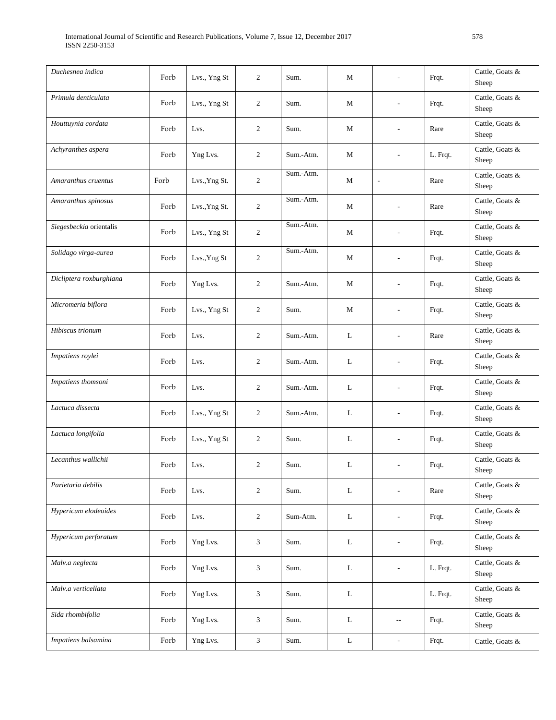| Duchesnea indica        | Forb | Lvs., Yng St  | 2              | Sum.      | М | ٠                        | Frqt.    | Cattle, Goats &<br>Sheep |
|-------------------------|------|---------------|----------------|-----------|---|--------------------------|----------|--------------------------|
| Primula denticulata     | Forb | Lvs., Yng St  | 2              | Sum.      | М |                          | Frqt.    | Cattle, Goats &<br>Sheep |
| Houttuynia cordata      | Forb | Lvs.          | 2              | Sum.      | М | L,                       | Rare     | Cattle, Goats &<br>Sheep |
| Achyranthes aspera      | Forb | Yng Lvs.      | 2              | Sum.-Atm. | M |                          | L. Frqt. | Cattle, Goats &<br>Sheep |
| Amaranthus cruentus     | Forb | Lvs., Yng St. | 2              | Sum.-Atm. | M | $\overline{a}$           | Rare     | Cattle, Goats &<br>Sheep |
| Amaranthus spinosus     | Forb | Lvs., Yng St. | 2              | Sum.-Atm. | M |                          | Rare     | Cattle, Goats &<br>Sheep |
| Siegesbeckia orientalis | Forb | Lvs., Yng St  | $\overline{c}$ | Sum.-Atm. | М |                          | Frqt.    | Cattle, Goats &<br>Sheep |
| Solidago virga-aurea    | Forb | Lvs., Yng St  | 2              | Sum.-Atm. | M |                          | Frqt.    | Cattle, Goats &<br>Sheep |
| Dicliptera roxburghiana | Forb | Yng Lvs.      | 2              | Sum.-Atm. | M | $\overline{a}$           | Frqt.    | Cattle, Goats &<br>Sheep |
| Micromeria biflora      | Forb | Lvs., Yng St  | 2              | Sum.      | М | L,                       | Frqt.    | Cattle, Goats &<br>Sheep |
| Hibiscus trionum        | Forb | Lvs.          | 2              | Sum.-Atm. | L | $\overline{a}$           | Rare     | Cattle, Goats &<br>Sheep |
| Impatiens roylei        | Forb | Lvs.          | 2              | Sum.-Atm. | L | L,                       | Frqt.    | Cattle, Goats &<br>Sheep |
| Impatiens thomsoni      | Forb | Lvs.          | 2              | Sum.-Atm. | L | L,                       | Frqt.    | Cattle, Goats &<br>Sheep |
| Lactuca dissecta        | Forb | Lvs., Yng St  | 2              | Sum.-Atm. | L | $\overline{\phantom{m}}$ | Frqt.    | Cattle, Goats &<br>Sheep |
| Lactuca longifolia      | Forb | Lvs., Yng St  | 2              | Sum.      | L | L,                       | Frqt.    | Cattle, Goats &<br>Sheep |
| Lecanthus wallichii     | Forb | Lvs.          | 2              | Sum.      | L |                          | Frqt.    | Cattle, Goats &<br>Sheep |
| Parietaria debilis      | Forb | Lvs.          | $\overline{c}$ | Sum.      | L | ÷,                       | Rare     | Cattle, Goats &<br>Sheep |
| Hypericum elodeoides    | Forb | Lvs.          | $\overline{c}$ | Sum-Atm.  | L | $\overline{a}$           | Frqt.    | Cattle, Goats &<br>Sheep |
| Hypericum perforatum    | Forb | Yng Lvs.      | 3              | Sum.      | L | L.                       | Frqt.    | Cattle, Goats &<br>Sheep |
| Malv.a neglecta         | Forb | Yng Lvs.      | 3              | Sum.      | L |                          | L. Frqt. | Cattle, Goats &<br>Sheep |
| Malv.a verticellata     | Forb | Yng Lvs.      | 3              | Sum.      | L |                          | L. Frqt. | Cattle, Goats &<br>Sheep |
| Sida rhombifolia        | Forb | Yng Lvs.      | 3              | Sum.      | L | $\overline{\phantom{a}}$ | Frqt.    | Cattle, Goats &<br>Sheep |
| Impatiens balsamina     | Forb | Yng Lvs.      | $\mathfrak{Z}$ | Sum.      | L | $\blacksquare$           | Frqt.    | Cattle, Goats &          |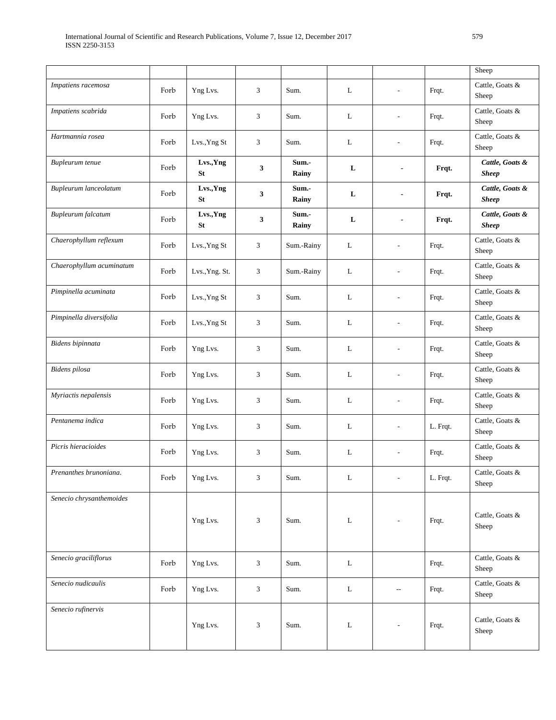|                          |      |                        |                |                |             |                          |          | Sheep                           |
|--------------------------|------|------------------------|----------------|----------------|-------------|--------------------------|----------|---------------------------------|
| Impatiens racemosa       | Forb | Yng Lvs.               | 3              | Sum.           | L           | L,                       | Frqt.    | Cattle, Goats &<br>Sheep        |
| Impatiens scabrida       | Forb | Yng Lvs.               | 3              | Sum.           | L           |                          | Frqt.    | Cattle, Goats &<br>Sheep        |
| Hartmannia rosea         | Forb | Lvs., Yng St           | 3              | Sum.           | L           | $\overline{a}$           | Frqt.    | Cattle, Goats &<br>Sheep        |
| Bupleurum tenue          | Forb | Lvs., Yng<br><b>St</b> | 3              | Sum.-<br>Rainy | L           |                          | Frqt.    | Cattle, Goats &<br><b>Sheep</b> |
| Bupleurum lanceolatum    | Forb | Lvs., Yng<br><b>St</b> | 3              | Sum.-<br>Rainy | L           | $\overline{\phantom{a}}$ | Frqt.    | Cattle, Goats &<br><b>Sheep</b> |
| Bupleurum falcatum       | Forb | Lvs., Yng<br><b>St</b> | $\mathbf{3}$   | Sum.-<br>Rainy | L           |                          | Frqt.    | Cattle, Goats &<br><b>Sheep</b> |
| Chaerophyllum reflexum   | Forb | Lvs., Yng St           | 3              | Sum.-Rainy     | L           |                          | Frqt.    | Cattle, Goats &<br>Sheep        |
| Chaerophyllum acuminatum | Forb | Lvs., Yng. St.         | 3              | Sum.-Rainy     | L           | $\overline{\phantom{a}}$ | Frqt.    | Cattle, Goats &<br>Sheep        |
| Pimpinella acuminata     | Forb | Lvs., Yng St           | 3              | Sum.           | L           | $\overline{a}$           | Frqt.    | Cattle, Goats &<br>Sheep        |
| Pimpinella diversifolia  | Forb | Lvs., Yng St           | 3              | Sum.           | L           |                          | Frqt.    | Cattle, Goats &<br>Sheep        |
| Bidens bipinnata         | Forb | Yng Lvs.               | 3              | Sum.           | L           | $\overline{\phantom{a}}$ | Frqt.    | Cattle, Goats &<br>Sheep        |
| Bidens pilosa            | Forb | Yng Lvs.               | 3              | Sum.           | L           | $\overline{\phantom{a}}$ | Frqt.    | Cattle, Goats &<br>Sheep        |
| Myriactis nepalensis     | Forb | Yng Lvs.               | 3              | Sum.           | L           | $\overline{\phantom{a}}$ | Frqt.    | Cattle, Goats &<br>Sheep        |
| Pentanema indica         | Forb | Yng Lvs.               | 3              | Sum.           | L           |                          | L. Frqt. | Cattle, Goats &<br>Sheep        |
| Picris hieracioides      | Forb | Yng Lvs.               | 3              | Sum.           | L           | $\sim$                   | Frqt.    | Cattle, Goats &<br>Sheep        |
| Prenanthes brunoniana.   | Forb | Yng Lvs.               | $\mathfrak{Z}$ | Sum.           | $\mathbf L$ | $\overline{\phantom{a}}$ | L. Frqt. | Cattle, Goats &<br>Sheep        |
| Senecio chrysanthemoides |      | Yng Lvs.               | 3              | Sum.           | L           | $\sim$                   | Frqt.    | Cattle, Goats &<br>Sheep        |
| Senecio graciliflorus    | Forb | Yng Lvs.               | 3              | Sum.           | $\mathbf L$ |                          | Frqt.    | Cattle, Goats &<br>Sheep        |
| Senecio nudicaulis       | Forb | Yng Lvs.               | 3              | Sum.           | $\mathbf L$ | $\overline{\phantom{a}}$ | Frqt.    | Cattle, Goats &<br>Sheep        |
| Senecio rufinervis       |      | Yng Lvs.               | 3              | Sum.           | L           | $\overline{\phantom{a}}$ | Frqt.    | Cattle, Goats &<br>Sheep        |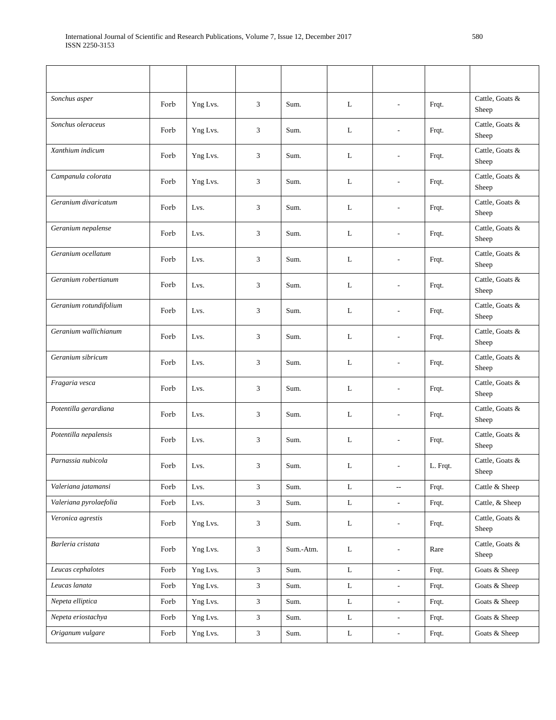| Sonchus asper          | Forb | Yng Lvs. | 3                           | Sum.      | L           | $\overline{a}$           | Frqt.    | Cattle, Goats &<br>Sheep |
|------------------------|------|----------|-----------------------------|-----------|-------------|--------------------------|----------|--------------------------|
| Sonchus oleraceus      | Forb | Yng Lvs. | 3                           | Sum.      | L           | L,                       | Frqt.    | Cattle, Goats &<br>Sheep |
| Xanthium indicum       | Forb | Yng Lvs. | 3                           | Sum.      | L           |                          | Frqt.    | Cattle, Goats &<br>Sheep |
| Campanula colorata     | Forb | Yng Lvs. | 3                           | Sum.      | L           |                          | Frqt.    | Cattle, Goats &<br>Sheep |
| Geranium divaricatum   | Forb | Lvs.     | 3                           | Sum.      | L           | L,                       | Frqt.    | Cattle, Goats &<br>Sheep |
| Geranium nepalense     | Forb | Lvs.     | 3                           | Sum.      | L           | L,                       | Frqt.    | Cattle, Goats &<br>Sheep |
| Geranium ocellatum     | Forb | Lvs.     | 3                           | Sum.      | L           |                          | Frqt.    | Cattle, Goats &<br>Sheep |
| Geranium robertianum   | Forb | Lvs.     | 3                           | Sum.      | L           |                          | Frqt.    | Cattle, Goats &<br>Sheep |
| Geranium rotundifolium | Forb | Lvs.     | 3                           | Sum.      | L           | $\overline{a}$           | Frqt.    | Cattle, Goats &<br>Sheep |
| Geranium wallichianum  | Forb | Lvs.     | 3                           | Sum.      | L           | $\overline{a}$           | Frqt.    | Cattle, Goats &<br>Sheep |
| Geranium sibricum      | Forb | Lvs.     | 3                           | Sum.      | L           | L,                       | Frqt.    | Cattle, Goats &<br>Sheep |
| Fragaria vesca         | Forb | Lvs.     | 3                           | Sum.      | L           | $\overline{a}$           | Frqt.    | Cattle, Goats &<br>Sheep |
| Potentilla gerardiana  | Forb | Lvs.     | 3                           | Sum.      | L           | $\overline{a}$           | Frqt.    | Cattle, Goats &<br>Sheep |
| Potentilla nepalensis  | Forb | Lvs.     | 3                           | Sum.      | L           | $\overline{a}$           | Frqt.    | Cattle, Goats &<br>Sheep |
| Parnassia nubicola     | Forb | Lvs.     | 3                           | Sum.      | L           |                          | L. Frqt. | Cattle, Goats &<br>Sheep |
| Valeriana jatamansi    | Forb | Lvs.     | $\mathfrak{Z}$              | Sum.      | L           | $\overline{\phantom{a}}$ | Frqt.    | Cattle & Sheep           |
| Valeriana pyrolaefolia | Forb | Lvs.     | $\mathfrak{Z}$              | Sum.      | $\bf L$     | ÷,                       | Frqt.    | Cattle, & Sheep          |
| Veronica agrestis      | Forb | Yng Lvs. | 3                           | Sum.      | L           | $\overline{a}$           | Frqt.    | Cattle, Goats &<br>Sheep |
| Barleria cristata      | Forb | Yng Lvs. | $\ensuremath{\mathfrak{Z}}$ | Sum.-Atm. | L           | $\overline{a}$           | Rare     | Cattle, Goats &<br>Sheep |
| Leucas cephalotes      | Forb | Yng Lvs. | $\mathfrak{Z}$              | Sum.      | L           | $\overline{a}$           | Frqt.    | Goats & Sheep            |
| Leucas lanata          | Forb | Yng Lvs. | $\mathfrak{Z}$              | Sum.      | $\mathbf L$ |                          | Frqt.    | Goats & Sheep            |
| Nepeta elliptica       | Forb | Yng Lvs. | $\mathfrak{Z}$              | Sum.      | $\mathbf L$ | $\overline{a}$           | Frqt.    | Goats & Sheep            |
| Nepeta eriostachya     | Forb | Yng Lvs. | $\mathfrak{Z}$              | Sum.      | L           | $\overline{a}$           | Frqt.    | Goats & Sheep            |
| Origanum vulgare       | Forb | Yng Lvs. | $\mathfrak{Z}$              | Sum.      | $\mathbf L$ | $\overline{\phantom{a}}$ | Frqt.    | Goats & Sheep            |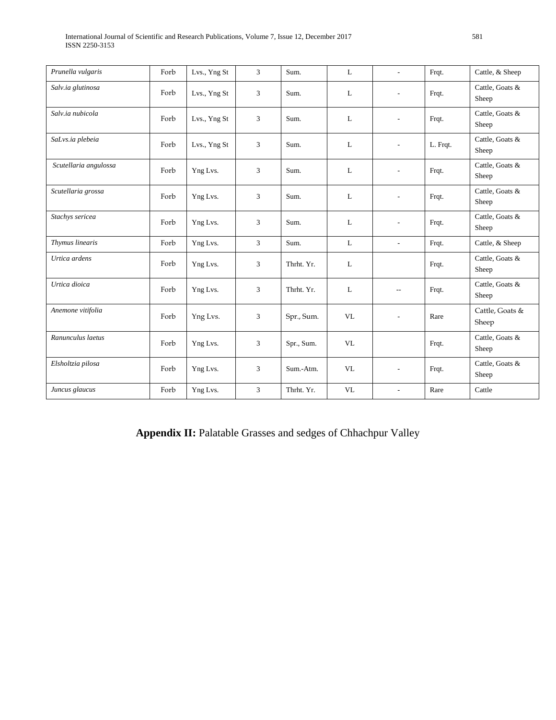| Prunella vulgaris     | Forb | Lvs., Yng St | 3 | Sum.       | L         | $\sim$                   | Frqt.    | Cattle, & Sheep          |
|-----------------------|------|--------------|---|------------|-----------|--------------------------|----------|--------------------------|
| Salv.ia glutinosa     | Forb | Lvs., Yng St | 3 | Sum.       | L         | $\overline{\phantom{a}}$ | Frqt.    | Cattle, Goats &<br>Sheep |
| Salv.ia nubicola      | Forb | Lvs., Yng St | 3 | Sum.       | L         |                          | Frqt.    | Cattle, Goats &<br>Sheep |
| SaLvs.ia plebeia      | Forb | Lvs., Yng St | 3 | Sum.       | L         | $\tilde{\phantom{a}}$    | L. Frqt. | Cattle, Goats &<br>Sheep |
| Scutellaria angulossa | Forb | Yng Lvs.     | 3 | Sum.       | L         |                          | Frqt.    | Cattle, Goats &<br>Sheep |
| Scutellaria grossa    | Forb | Yng Lvs.     | 3 | Sum.       | L         | $\tilde{\phantom{a}}$    | Frqt.    | Cattle, Goats &<br>Sheep |
| Stachys sericea       | Forb | Yng Lvs.     | 3 | Sum.       | L         | ÷                        | Frqt.    | Cattle, Goats &<br>Sheep |
| Thymus linearis       | Forb | Yng Lvs.     | 3 | Sum.       | L         | $\overline{\phantom{a}}$ | Frqt.    | Cattle, & Sheep          |
| Urtica ardens         | Forb | Yng Lvs.     | 3 | Thrht. Yr. | L         |                          | Frqt.    | Cattle, Goats &<br>Sheep |
| Urtica dioica         | Forb | Yng Lvs.     | 3 | Thrht. Yr. | L         | $-$                      | Frqt.    | Cattle, Goats &<br>Sheep |
| Anemone vitifolia     | Forb | Yng Lvs.     | 3 | Spr., Sum. | <b>VL</b> | $\overline{\phantom{a}}$ | Rare     | Cattle, Goats &<br>Sheep |
| Ranunculus laetus     | Forb | Yng Lvs.     | 3 | Spr., Sum. | <b>VL</b> |                          | Frqt.    | Cattle, Goats &<br>Sheep |
| Elsholtzia pilosa     | Forb | Yng Lvs.     | 3 | Sum.-Atm.  | <b>VL</b> | $\overline{\phantom{a}}$ | Frqt.    | Cattle, Goats &<br>Sheep |
| Juncus glaucus        | Forb | Yng Lvs.     | 3 | Thrht. Yr. | <b>VL</b> | ÷                        | Rare     | Cattle                   |

Appendix II: Palatable Grasses and sedges of Chhachpur Valley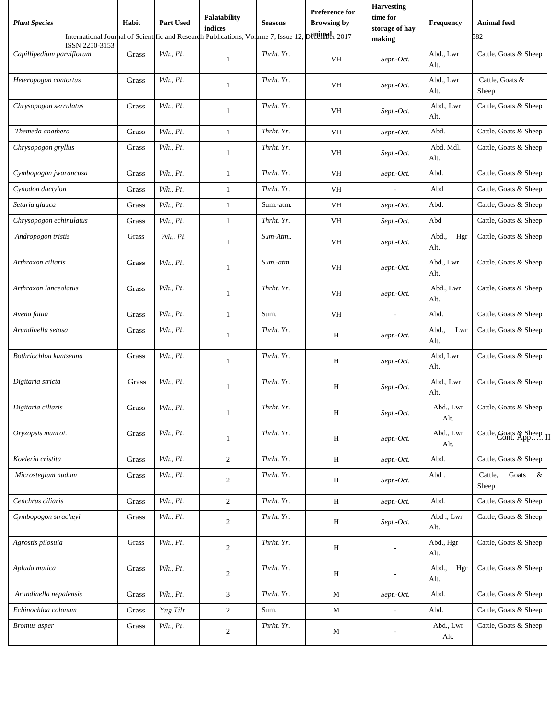| <b>Plant Species</b>      | Habit | <b>Part Used</b> | <b>Palatability</b><br>indices                                                     | <b>Seasons</b> | <b>Preference for</b><br><b>Browsing by</b> | <b>Harvesting</b><br>time for<br>storage of hay | <b>Frequency</b>     | <b>Animal</b> feed             |
|---------------------------|-------|------------------|------------------------------------------------------------------------------------|----------------|---------------------------------------------|-------------------------------------------------|----------------------|--------------------------------|
| ISSN 2250-3153            |       |                  | International Journal of Scientific and Research Publications, Volume 7, Issue 12, |                | Devember 2017                               | making                                          |                      | 582                            |
| Capillipedium parviflorum | Grass | Wh., Pt.         | $\mathbf{1}$                                                                       | Thrht. Yr.     | VH                                          | Sept.-Oct.                                      | Abd., Lwr<br>Alt.    | Cattle, Goats & Sheep          |
| Heteropogon contortus     | Grass | Wh., Pt.         | $\mathbf{1}$                                                                       | Thrht. Yr.     | VH                                          | Sept.-Oct.                                      | Abd., Lwr<br>Alt.    | Cattle, Goats &<br>Sheep       |
| Chrysopogon serrulatus    | Grass | Wh., Pt.         | 1                                                                                  | Thrht. Yr.     | VH                                          | Sept.-Oct.                                      | Abd., Lwr<br>Alt.    | Cattle, Goats & Sheep          |
| Themeda anathera          | Grass | <i>Wh., Pt.</i>  | $\mathbf{1}$                                                                       | Thrht. Yr.     | VH                                          | Sept.-Oct.                                      | Abd.                 | Cattle, Goats & Sheep          |
| Chrysopogon gryllus       | Grass | Wh., Pt.         | $\mathbf{1}$                                                                       | Thrht. Yr.     | VH                                          | Sept.-Oct.                                      | Abd. Mdl.<br>Alt.    | Cattle, Goats & Sheep          |
| Cymbopogon jwarancusa     | Grass | Wh., Pt.         | $\mathbf{1}$                                                                       | Thrht. Yr.     | VH                                          | Sept.-Oct.                                      | Abd.                 | Cattle, Goats & Sheep          |
| Cynodon dactylon          | Grass | Wh., Pt.         | 1                                                                                  | Thrht. Yr.     | VH                                          | $\overline{\phantom{a}}$                        | Abd                  | Cattle, Goats & Sheep          |
| Setaria glauca            | Grass | Wh., Pt.         | $\mathbf{1}$                                                                       | Sum.-atm.      | VH                                          | Sept.-Oct.                                      | Abd.                 | Cattle, Goats & Sheep          |
| Chrysopogon echinulatus   | Grass | <i>Wh., Pt.</i>  | $\mathbf{1}$                                                                       | Thrht. Yr.     | VH                                          | Sept.-Oct.                                      | Abd                  | Cattle, Goats & Sheep          |
| Andropogon tristis        | Grass | Wh., Pt.         | 1                                                                                  | Sum-Atm        | VH                                          | Sept.-Oct.                                      | Abd.,<br>Hgr<br>Alt. | Cattle, Goats & Sheep          |
| Arthraxon ciliaris        | Grass | Wh., Pt.         | $\mathbf{1}$                                                                       | Sum.-atm       | VH                                          | Sept.-Oct.                                      | Abd., Lwr<br>Alt.    | Cattle, Goats & Sheep          |
| Arthraxon lanceolatus     | Grass | Wh., Pt.         | 1                                                                                  | Thrht. Yr.     | VH                                          | Sept.-Oct.                                      | Abd., Lwr<br>Alt.    | Cattle, Goats & Sheep          |
| Avena fatua               | Grass | Wh., Pt.         | $\mathbf{1}$                                                                       | Sum.           | VH                                          |                                                 | Abd.                 | Cattle, Goats & Sheep          |
| Arundinella setosa        | Grass | Wh., Pt.         | 1                                                                                  | Thrht. Yr.     | Н                                           | Sept.-Oct.                                      | Abd.,<br>Lwr<br>Alt. | Cattle, Goats & Sheep          |
| Bothriochloa kuntseana    | Grass | Wh., Pt.         | $\mathbf{1}$                                                                       | Thrht. Yr.     | Н                                           | Sept.-Oct.                                      | Abd. Lwr<br>Alt.     | Cattle, Goats & Sheep          |
| Digitaria stricta         | Grass | Wh., Pt.         | 1                                                                                  | Thrht. Yr.     | H                                           | Sept.-Oct.                                      | Abd., Lwr<br>Alt.    | Cattle, Goats & Sheep          |
| Digitaria ciliaris        | Grass | Wh., Pt.         |                                                                                    | Thrht. Yr.     | H                                           | Sept.-Oct.                                      | Abd., Lwr<br>Alt.    | Cattle, Goats & Sheep          |
| Oryzopsis munroi.         | Grass | Wh., Pt.         | $\mathbf{1}$                                                                       | Thrht. Yr.     | H                                           | Sept.-Oct.                                      | Abd., Lwr<br>Alt.    | Cattle, Goats & Sheep. II      |
| Koeleria cristita         | Grass | Wh., Pt.         | $\overline{2}$                                                                     | Thrht. Yr.     | H                                           | Sept.-Oct.                                      | Abd.                 | Cattle, Goats & Sheep          |
| Microstegium nudum        | Grass | Wh., Pt.         | $\overline{2}$                                                                     | Thrht. Yr.     | H                                           | Sept.-Oct.                                      | Abd.                 | Cattle,<br>Goats<br>&<br>Sheep |
| Cenchrus ciliaris         | Grass | Wh., Pt.         | $\overline{2}$                                                                     | Thrht. Yr.     | H                                           | Sept.-Oct.                                      | Abd.                 | Cattle, Goats & Sheep          |
| Cymbopogon stracheyi      | Grass | Wh., Pt.         | $\overline{c}$                                                                     | Thrht. Yr.     | H                                           | Sept.-Oct.                                      | Abd., Lwr<br>Alt.    | Cattle, Goats & Sheep          |
| Agrostis pilosula         | Grass | Wh., Pt.         | $\mathbf{2}$                                                                       | Thrht. Yr.     | H                                           |                                                 | Abd., Hgr<br>Alt.    | Cattle, Goats & Sheep          |
| Apluda mutica             | Grass | Wh., Pt.         | $\overline{c}$                                                                     | Thrht. Yr.     | H                                           |                                                 | Abd.,<br>Hgr<br>Alt. | Cattle, Goats & Sheep          |
| Arundinella nepalensis    | Grass | Wh., Pt.         | 3                                                                                  | Thrht. Yr.     | M                                           | Sept.-Oct.                                      | Abd.                 | Cattle, Goats & Sheep          |
| Echinochloa colonum       | Grass | Yng Tilr         | $\overline{2}$                                                                     | Sum.           | M                                           | $\overline{\phantom{a}}$                        | Abd.                 | Cattle, Goats & Sheep          |
| <b>Bromus</b> asper       | Grass | Wh., Pt.         | $\overline{2}$                                                                     | Thrht. Yr.     | M                                           |                                                 | Abd., Lwr<br>Alt.    | Cattle, Goats & Sheep          |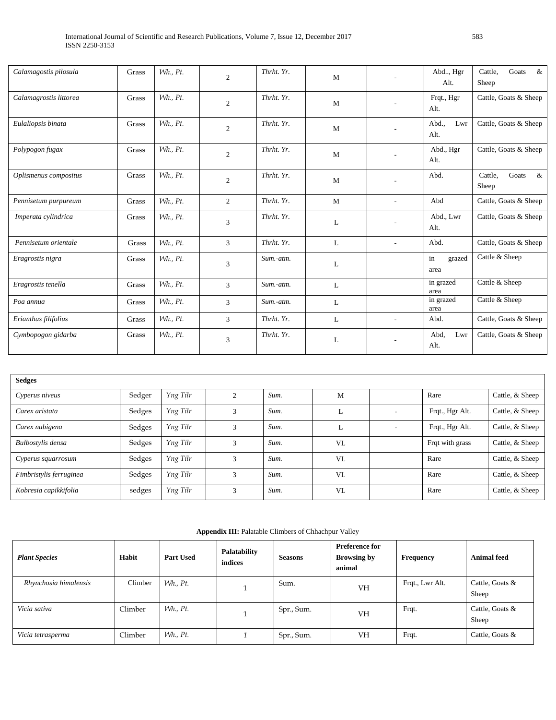| Calamagostis pilosula  | Grass | Wh., Pt.        | $\overline{c}$ | Thrht. Yr. | M |                          | Abd, Hgr<br>Alt.     | Cattle,<br>Goats<br>&<br>Sheep    |
|------------------------|-------|-----------------|----------------|------------|---|--------------------------|----------------------|-----------------------------------|
| Calamagrostis littorea | Grass | Wh., Pt.        | $\mathfrak{2}$ | Thrht. Yr. | M |                          | Frqt., Hgr<br>Alt.   | Cattle, Goats & Sheep             |
| Eulaliopsis binata     | Grass | Wh., Pt.        | $\overline{2}$ | Thrht. Yr. | M |                          | Abd.,<br>Lwr<br>Alt. | Cattle, Goats & Sheep             |
| Polypogon fugax        | Grass | Wh., Pt.        | $\overline{2}$ | Thrht. Yr. | M |                          | Abd., Hgr<br>Alt.    | Cattle, Goats & Sheep             |
| Oplismenus compositus  | Grass | Wh., Pt.        | $\mathfrak{2}$ | Thrht. Yr. | M |                          | Abd.                 | Cattle,<br>Goats<br>$\&$<br>Sheep |
| Pennisetum purpureum   | Grass | Wh., Pt.        | $\overline{c}$ | Thrht. Yr. | M | $\overline{\phantom{a}}$ | Abd                  | Cattle, Goats & Sheep             |
| Imperata cylindrica    | Grass | Wh., Pt.        | 3              | Thrht. Yr. | L |                          | Abd., Lwr<br>Alt.    | Cattle, Goats & Sheep             |
| Pennisetum orientale   | Grass | Wh., Pt.        | 3              | Thrht. Yr. | L | $\overline{\phantom{a}}$ | Abd.                 | Cattle, Goats & Sheep             |
| Eragrostis nigra       | Grass | Wh., Pt.        | 3              | Sum.-atm.  | L |                          | in<br>grazed<br>area | Cattle & Sheep                    |
| Eragrostis tenella     | Grass | Wh., Pt.        | 3              | Sum.-atm.  | L |                          | in grazed<br>area    | Cattle & Sheep                    |
| Poa annua              | Grass | <i>Wh., Pt.</i> | 3              | Sum.-atm.  | L |                          | in grazed<br>area    | Cattle & Sheep                    |
| Erianthus filifolius   | Grass | Wh., Pt.        | 3              | Thrht. Yr. | L | ٠                        | Abd.                 | Cattle, Goats & Sheep             |
| Cymbopogon gidarba     | Grass | Wh., Pt.        | 3              | Thrht. Yr. | L |                          | Abd.<br>Lwr<br>Alt.  | Cattle, Goats & Sheep             |

| <b>Sedges</b>           |        |          |              |      |    |                          |                 |                 |
|-------------------------|--------|----------|--------------|------|----|--------------------------|-----------------|-----------------|
| Cyperus niveus          | Sedger | Yng Tilr | ◠            | Sum. | М  |                          | Rare            | Cattle, & Sheep |
| Carex aristata          | Sedges | Yng Tilr | 3            | Sum. | L  | $\overline{\phantom{a}}$ | Frqt., Hgr Alt. | Cattle, & Sheep |
| Carex nubigena          | Sedges | Yng Tilr | 3            | Sum. | L  | $\overline{\phantom{a}}$ | Frqt., Hgr Alt. | Cattle, & Sheep |
| Bulbostylis densa       | Sedges | Yng Tilr | 3            | Sum. | VL |                          | Frqt with grass | Cattle, & Sheep |
| Cyperus squarrosum      | Sedges | Yng Tilr | 3            | Sum. | VL |                          | Rare            | Cattle, & Sheep |
| Fimbristylis ferruginea | Sedges | Yng Tilr | $\mathbf{3}$ | Sum. | VL |                          | Rare            | Cattle, & Sheep |
| Kobresia capikkifolia   | sedges | Yng Tilr | $\sim$       | Sum. | VL |                          | Rare            | Cattle, & Sheep |

**Appendix III:** Palatable Climbers of Chhachpur Valley

| <b>Plant Species</b>  | Habit   | <b>Part Used</b> | Palatability<br>indices | <b>Seasons</b> | <b>Preference for</b><br><b>Browsing by</b><br>animal | Frequency       | <b>Animal feed</b>       |
|-----------------------|---------|------------------|-------------------------|----------------|-------------------------------------------------------|-----------------|--------------------------|
| Rhynchosia himalensis | Climber | Wh., Pt.         |                         | Sum.           | <b>VH</b>                                             | Frqt., Lwr Alt. | Cattle, Goats &<br>Sheep |
| Vicia sativa          | Climber | Wh., Pt.         |                         | Spr., Sum.     | VH                                                    | Frqt.           | Cattle, Goats &<br>Sheep |
| Vicia tetrasperma     | Climber | $Wh.$ , Pt.      |                         | Spr., Sum.     | <b>VH</b>                                             | Frqt.           | Cattle, Goats &          |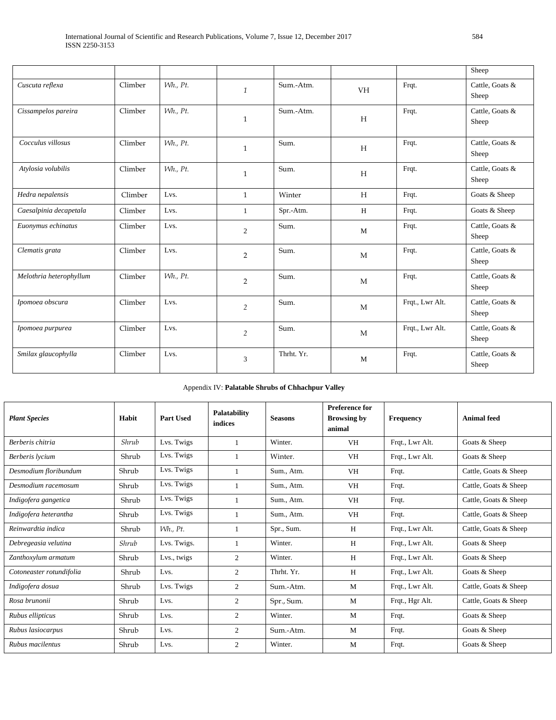|                         |         |          |                |            |           |                 | Sheep                    |
|-------------------------|---------|----------|----------------|------------|-----------|-----------------|--------------------------|
| Cuscuta reflexa         | Climber | Wh., Pt. | $\mathbf{1}$   | Sum.-Atm.  | <b>VH</b> | Frqt.           | Cattle, Goats &<br>Sheep |
| Cissampelos pareira     | Climber | Wh., Pt. | $\mathbf{1}$   | Sum.-Atm.  | H         | Frqt.           | Cattle, Goats &<br>Sheep |
| Cocculus villosus       | Climber | Wh., Pt. | $\mathbf{1}$   | Sum.       | H         | Frqt.           | Cattle, Goats &<br>Sheep |
| Atylosia volubilis      | Climber | Wh., Pt. | $\mathbf{1}$   | Sum.       | H         | Frqt.           | Cattle, Goats &<br>Sheep |
| Hedra nepalensis        | Climber | Lvs.     | $\mathbf{1}$   | Winter     | H         | Frqt.           | Goats & Sheep            |
| Caesalpinia decapetala  | Climber | Lvs.     | 1              | Spr.-Atm.  | H         | Frqt.           | Goats & Sheep            |
| Euonymus echinatus      | Climber | Lvs.     | $\overline{2}$ | Sum.       | M         | Frqt.           | Cattle, Goats &<br>Sheep |
| Clematis grata          | Climber | Lvs.     | $\overline{2}$ | Sum.       | M         | Frqt.           | Cattle, Goats &<br>Sheep |
| Melothria heterophyllum | Climber | Wh., Pt. | $\overline{2}$ | Sum.       | M         | Frqt.           | Cattle, Goats &<br>Sheep |
| Ipomoea obscura         | Climber | Lvs.     | $\overline{2}$ | Sum.       | M         | Frqt., Lwr Alt. | Cattle, Goats &<br>Sheep |
| Ipomoea purpurea        | Climber | Lvs.     | $\overline{2}$ | Sum.       | M         | Frqt., Lwr Alt. | Cattle, Goats &<br>Sheep |
| Smilax glaucophylla     | Climber | Lvs.     | 3              | Thrht. Yr. | M         | Frqt.           | Cattle, Goats &<br>Sheep |

| Appendix IV: Palatable Shrubs of Chhachpur Valley |  |
|---------------------------------------------------|--|
|                                                   |  |

| <b>Plant Species</b>     | Habit | Part Used       | Palatability<br>indices | <b>Seasons</b> | <b>Preference for</b><br><b>Browsing by</b><br>animal | Frequency       | <b>Animal</b> feed    |
|--------------------------|-------|-----------------|-------------------------|----------------|-------------------------------------------------------|-----------------|-----------------------|
| Berberis chitria         | Shrub | Lvs. Twigs      |                         | Winter.        | VH                                                    | Frqt., Lwr Alt. | Goats & Sheep         |
| Berberis lycium          | Shrub | Lvs. Twigs      |                         | Winter.        | <b>VH</b>                                             | Frqt., Lwr Alt. | Goats & Sheep         |
| Desmodium floribundum    | Shrub | Lvs. Twigs      |                         | Sum., Atm.     | <b>VH</b>                                             | Frqt.           | Cattle, Goats & Sheep |
| Desmodium racemosum      | Shrub | Lvs. Twigs      |                         | Sum., Atm.     | <b>VH</b>                                             | Frqt.           | Cattle, Goats & Sheep |
| Indigofera gangetica     | Shrub | Lvs. Twigs      |                         | Sum., Atm.     | <b>VH</b>                                             | Frqt.           | Cattle, Goats & Sheep |
| Indigofera heterantha    | Shrub | Lvs. Twigs      |                         | Sum., Atm.     | <b>VH</b>                                             | Frqt.           | Cattle, Goats & Sheep |
| Reinwardtia indica       | Shrub | <i>Wh., Pt.</i> |                         | Spr., Sum.     | H                                                     | Frqt., Lwr Alt. | Cattle, Goats & Sheep |
| Debregeasia velutina     | Shrub | Lvs. Twigs.     |                         | Winter.        | H                                                     | Frgt., Lwr Alt. | Goats & Sheep         |
| Zanthoxylum armatum      | Shrub | Lys., twigs     | $\overline{2}$          | Winter.        | H                                                     | Frqt., Lwr Alt. | Goats & Sheep         |
| Cotoneaster rotundifolia | Shrub | Lys.            | 2                       | Thrht. Yr.     | H                                                     | Frqt., Lwr Alt. | Goats & Sheep         |
| Indigofera dosua         | Shrub | Lys. Twigs      | $\overline{2}$          | Sum.-Atm.      | M                                                     | Frqt., Lwr Alt. | Cattle, Goats & Sheep |
| Rosa brunonii            | Shrub | Lvs.            | $\overline{2}$          | Spr., Sum.     | M                                                     | Frqt., Hgr Alt. | Cattle, Goats & Sheep |
| Rubus ellipticus         | Shrub | Lys.            | $\overline{c}$          | Winter.        | M                                                     | Frqt.           | Goats & Sheep         |
| Rubus lasiocarpus        | Shrub | Lys.            | $\overline{2}$          | Sum.-Atm.      | M                                                     | Frqt.           | Goats & Sheep         |
| Rubus macilentus         | Shrub | Lvs.            | 2                       | Winter.        | M                                                     | Frqt.           | Goats & Sheep         |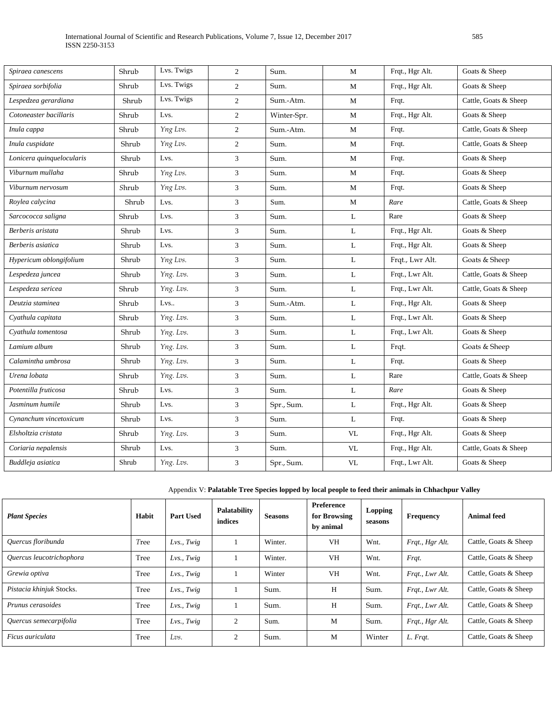| Spiraea canescens         | Shrub | Lvs. Twigs | 2              | Sum.        | M                               | Frqt., Hgr Alt. | Goats & Sheep         |
|---------------------------|-------|------------|----------------|-------------|---------------------------------|-----------------|-----------------------|
| Spiraea sorbifolia        | Shrub | Lys. Twigs | 2              | Sum.        | М                               | Frqt., Hgr Alt. | Goats & Sheep         |
| Lespedzea gerardiana      | Shrub | Lvs. Twigs | 2              | Sum.-Atm.   | M                               | Frqt.           | Cattle, Goats & Sheep |
| Cotoneaster bacillaris    | Shrub | Lvs.       | 2              | Winter-Spr. | M                               | Frqt., Hgr Alt. | Goats & Sheep         |
| Inula cappa               | Shrub | Yng Lvs.   | 2              | Sum.-Atm.   | M                               | Frqt.           | Cattle, Goats & Sheep |
| Inula cuspidate           | Shrub | Yng Lvs.   | 2              | Sum.        | М                               | Frqt.           | Cattle, Goats & Sheep |
| Lonicera quinquelocularis | Shrub | Lvs.       | 3              | Sum.        | M                               | Frqt.           | Goats & Sheep         |
| Viburnum mullaha          | Shrub | Yng Lvs.   | 3              | Sum.        | M                               | Frqt.           | Goats & Sheep         |
| Viburnum nervosum         | Shrub | Yng Lvs.   | 3              | Sum.        | M                               | Frqt.           | Goats & Sheep         |
| Roylea calycina           | Shrub | Lvs.       | 3              | Sum.        | M                               | Rare            | Cattle, Goats & Sheep |
| Sarcococca saligna        | Shrub | Lvs.       | 3              | Sum.        | L                               | Rare            | Goats & Sheep         |
| Berberis aristata         | Shrub | Lvs.       | $\mathfrak{Z}$ | Sum.        | L                               | Frqt., Hgr Alt. | Goats & Sheep         |
| Berberis asiatica         | Shrub | Lvs.       | 3              | Sum.        | L                               | Frqt., Hgr Alt. | Goats & Sheep         |
| Hypericum oblongifolium   | Shrub | Yng Lvs.   | $\mathfrak{Z}$ | Sum.        | L                               | Frqt., Lwr Alt. | Goats & Sheep         |
| Lespedeza juncea          | Shrub | Yng. Lvs.  | 3              | Sum.        | L                               | Frqt., Lwr Alt. | Cattle, Goats & Sheep |
| Lespedeza sericea         | Shrub | Yng. Lvs.  | 3              | Sum.        | L                               | Frqt., Lwr Alt. | Cattle, Goats & Sheep |
| Deutzia staminea          | Shrub | Lvs        | 3              | Sum.-Atm.   | L                               | Frqt., Hgr Alt. | Goats & Sheep         |
| Cyathula capitata         | Shrub | Yng. Lvs.  | 3              | Sum.        | L                               | Frqt., Lwr Alt. | Goats & Sheep         |
| Cyathula tomentosa        | Shrub | Yng. Lvs.  | $\mathfrak{Z}$ | Sum.        | L                               | Frqt., Lwr Alt. | Goats & Sheep         |
| Lamium album              | Shrub | Yng. Lvs.  | 3              | Sum.        | L                               | Frqt.           | Goats & Sheep         |
| Calamintha umbrosa        | Shrub | Yng. Lvs.  | 3              | Sum.        | $\mathbf L$                     | Frqt.           | Goats & Sheep         |
| Urena lobata              | Shrub | Yng. Lvs.  | 3              | Sum.        | L                               | Rare            | Cattle, Goats & Sheep |
| Potentilla fruticosa      | Shrub | Lvs.       | 3              | Sum.        | L                               | Rare            | Goats & Sheep         |
| Jasminum humile           | Shrub | Lvs.       | $\mathfrak{Z}$ | Spr., Sum.  | $\mathbf L$                     | Frqt., Hgr Alt. | Goats & Sheep         |
| Cynanchum vincetoxicum    | Shrub | Lvs.       | $\mathfrak{Z}$ | Sum.        | L                               | Frqt.           | Goats & Sheep         |
| Elsholtzia cristata       | Shrub | Yng. Lvs.  | 3              | Sum.        | <b>VL</b>                       | Frqt., Hgr Alt. | Goats & Sheep         |
| Coriaria nepalensis       | Shrub | Lvs.       | 3              | Sum.        | $\ensuremath{\text{VL}}\xspace$ | Frqt., Hgr Alt. | Cattle, Goats & Sheep |
| Buddleja asiatica         | Shrub | Yng. Lvs.  | $\mathfrak{Z}$ | Spr., Sum.  | $\ensuremath{\text{VL}}\xspace$ | Frqt., Lwr Alt. | Goats & Sheep         |
|                           |       |            |                |             |                                 |                 |                       |

Appendix V: **Palatable Tree Species lopped by local people to feed their animals in Chhachpur Valley**

| <b>Plant Species</b>     | Habit | <b>Part Used</b> | Palatability<br>indices | <b>Seasons</b> | Preference<br>for Browsing<br>by animal | <b>Lopping</b><br>seasons | <b>Frequency</b> | Animal feed           |
|--------------------------|-------|------------------|-------------------------|----------------|-----------------------------------------|---------------------------|------------------|-----------------------|
| Ouercus floribunda       | Tree  | Lvs., Twig       |                         | Winter.        | <b>VH</b>                               | Wnt.                      | Frqt., Hgr Alt.  | Cattle, Goats & Sheep |
| Ouercus leucotrichophora | Tree  | $Lvs.$ Twig      |                         | Winter.        | <b>VH</b>                               | Wnt.                      | Frqt.            | Cattle, Goats & Sheep |
| Grewia optiva            | Tree  | Lvs., Twig       |                         | Winter         | <b>VH</b>                               | Wnt.                      | Frqt., Lwr Alt.  | Cattle, Goats & Sheep |
| Pistacia khinjuk Stocks. | Tree  | $Lvs.$ Twig      |                         | Sum.           | H                                       | Sum.                      | Frqt., Lwr Alt.  | Cattle, Goats & Sheep |
| Prunus cerasoides        | Tree  | Lvs., Twig       |                         | Sum.           | H                                       | Sum.                      | Frat., Lwr Alt.  | Cattle, Goats & Sheep |
| Quercus semecarpifolia   | Tree  | $Lvs.$ Twig      | $\overline{c}$          | Sum.           | M                                       | Sum.                      | Frqt., Hgr Alt.  | Cattle, Goats & Sheep |
| Ficus auriculata         | Tree  | Lvs.             | $\overline{c}$          | Sum.           | M                                       | Winter                    | L. Frqt.         | Cattle, Goats & Sheep |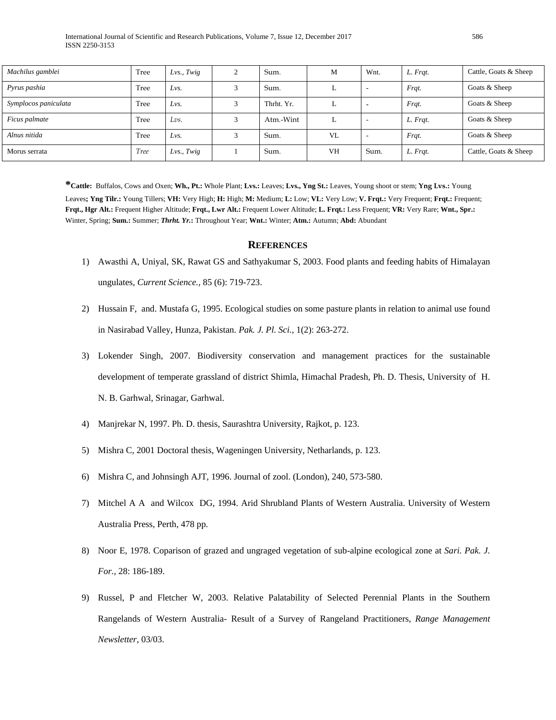| Machilus gamblei     | Tree        | $Lvs.$ Twig | Sum.       | M         | Wnt.                     | L. Frat. | Cattle, Goats & Sheep |
|----------------------|-------------|-------------|------------|-----------|--------------------------|----------|-----------------------|
| Pyrus pashia         | Tree        | Lvs.        | Sum.       |           | $\overline{\phantom{0}}$ | Frqt.    | Goats & Sheep         |
| Symplocos paniculata | Tree        | Lvs.        | Thrht. Yr. |           |                          | Frqt.    | Goats & Sheep         |
| Ficus palmate        | Tree        | Lvs.        | Atm.-Wint  |           |                          | L. Frqt. | Goats & Sheep         |
| Alnus nitida         | Tree        | Lvs.        | Sum.       | VL        | $\overline{\phantom{a}}$ | Frqt.    | Goats & Sheep         |
| Morus serrata        | <b>Tree</b> | Lvs., Twig  | Sum.       | <b>VH</b> | Sum.                     | L. Frqt. | Cattle, Goats & Sheep |

**\*Cattle:** Buffalos, Cows and Oxen; **Wh., Pt.:** Whole Plant; **Lvs.:** Leaves; **Lvs., Yng St.:** Leaves, Young shoot or stem; **Yng Lvs.:** Young Leaves**; Yng Tilr.:** Young Tillers; **VH:** Very High; **H:** High; **M:** Medium; **L:** Low; **VL:** Very Low; **V. Frqt.:** Very Frequent; **Frqt.:** Frequent; **Frqt., Hgr Alt.:** Frequent Higher Altitude; **Frqt., Lwr Alt.:** Frequent Lower Altitude; **L. Frqt***.***:** Less Frequent; **VR:** Very Rare; **Wnt., Spr.:**  Winter, Spring; **Sum.:** Summer; *Thrht. Yr.***:** Throughout Year; **Wnt.:** Winter; **Atm.:** Autumn; **Abd:** Abundant

#### **REFERENCES**

- 1) Awasthi A, Uniyal, SK, Rawat GS and Sathyakumar S, 2003. Food plants and feeding habits of Himalayan ungulates, *Current Science.,* 85 (6): 719-723.
- 2) Hussain F, and. Mustafa G, 1995. Ecological studies on some pasture plants in relation to animal use found in Nasirabad Valley, Hunza, Pakistan. *Pak. J. Pl. Sci.,* 1(2): 263-272.
- 3) Lokender Singh, 2007. Biodiversity conservation and management practices for the sustainable development of temperate grassland of district Shimla, Himachal Pradesh, Ph. D. Thesis, University of H. N. B. Garhwal, Srinagar, Garhwal.
- 4) Manjrekar N, 1997. Ph. D. thesis, Saurashtra University, Rajkot, p. 123.
- 5) Mishra C, 2001 Doctoral thesis, Wageningen University, Netharlands, p. 123.
- 6) Mishra C, and Johnsingh AJT, 1996. Journal of zool. (London), 240, 573-580.
- 7) Mitchel A A and Wilcox DG, 1994. Arid Shrubland Plants of Western Australia. University of Western Australia Press, Perth, 478 pp.
- 8) Noor E, 1978. Coparison of grazed and ungraged vegetation of sub-alpine ecological zone at *Sari. Pak. J. For.,* 28: 186-189.
- 9) Russel, P and Fletcher W, 2003. Relative Palatability of Selected Perennial Plants in the Southern Rangelands of Western Australia- Result of a Survey of Rangeland Practitioners, *Range Management Newsletter*, 03/03.